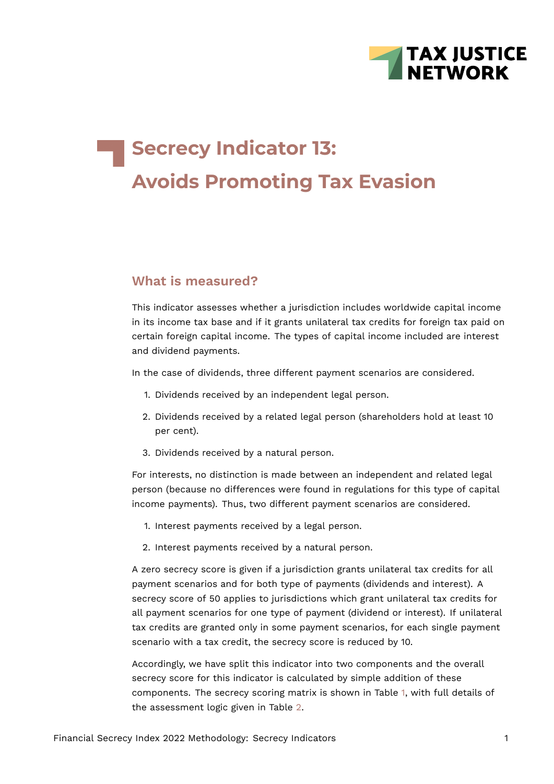

# **Secrecy Indicator 13: Avoids Promoting Tax Evasion**

### **What is measured?**

This indicator assesses whether a jurisdiction includes worldwide capital income in its income tax base and if it grants unilateral tax credits for foreign tax paid on certain foreign capital income. The types of capital income included are interest and dividend payments.

In the case of dividends, three different payment scenarios are considered.

- 1. Dividends received by an independent legal person.
- 2. Dividends received by a related legal person (shareholders hold at least 10 per cent).
- 3. Dividends received by a natural person.

For interests, no distinction is made between an independent and related legal person (because no differences were found in regulations for this type of capital income payments). Thus, two different payment scenarios are considered.

- 1. Interest payments received by a legal person.
- 2. Interest payments received by a natural person.

A zero secrecy score is given if a jurisdiction grants unilateral tax credits for all payment scenarios and for both type of payments (dividends and interest). A secrecy score of 50 applies to jurisdictions which grant unilateral tax credits for all payment scenarios for one type of payment (dividend or interest). If unilateral tax credits are granted only in some payment scenarios, for each single payment scenario with a tax credit, the secrecy score is reduced by 10.

Accordingly, we have split this indicator into two components and the overall secrecy score for this indicator is calculated by simple addition of these components. The secrecy scoring matrix is shown in Table [1](#page-1-0), with full details of the assessment logic given in Table [2](#page-5-0).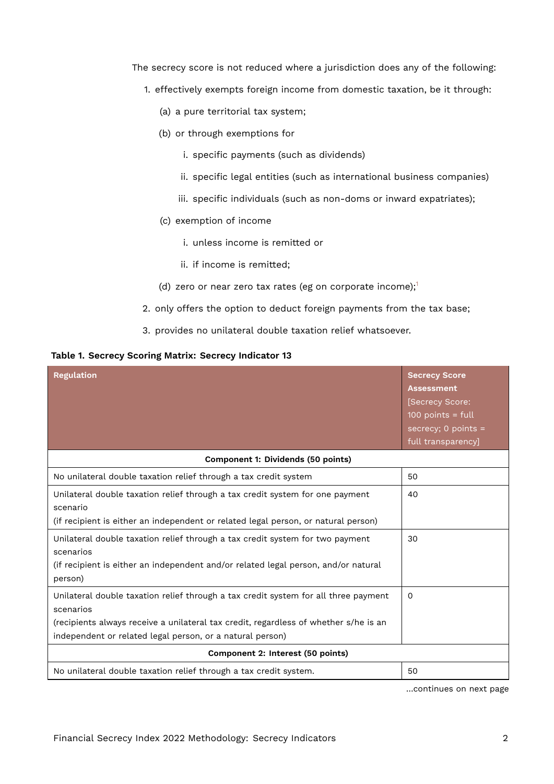The secrecy score is not reduced where a jurisdiction does any of the following:

- 1. effectively exempts foreign income from domestic taxation, be it through:
	- (a) a pure territorial tax system;
	- (b) or through exemptions for
		- i. specific payments (such as dividends)
		- ii. specific legal entities (such as international business companies)
		- iii. specific individuals (such as non-doms or inward expatriates);
	- (c) exemption of income
		- i. unless income is remitted or
		- ii. if income is remitted;
	- (d) zero or near zero tax rates (eg on corporate income); $1$
- <span id="page-1-1"></span>2. only offers the option to deduct foreign payments from the tax base;
- <span id="page-1-0"></span>3. provides no unilateral double taxation relief whatsoever.

#### **Table 1. Secrecy Scoring Matrix: Secrecy Indicator 13**

| <b>Regulation</b>                                                                                                                                                                                                                                     | <b>Secrecy Score</b><br><b>Assessment</b><br>[Secrecy Score:<br>$100$ points = full<br>secrecy; $0$ points =<br>full transparency] |
|-------------------------------------------------------------------------------------------------------------------------------------------------------------------------------------------------------------------------------------------------------|------------------------------------------------------------------------------------------------------------------------------------|
| Component 1: Dividends (50 points)                                                                                                                                                                                                                    |                                                                                                                                    |
| No unilateral double taxation relief through a tax credit system                                                                                                                                                                                      | 50                                                                                                                                 |
| Unilateral double taxation relief through a tax credit system for one payment<br>scenario<br>(if recipient is either an independent or related legal person, or natural person)                                                                       | 40                                                                                                                                 |
| Unilateral double taxation relief through a tax credit system for two payment<br>scenarios<br>(if recipient is either an independent and/or related legal person, and/or natural<br>person)                                                           | 30                                                                                                                                 |
| Unilateral double taxation relief through a tax credit system for all three payment<br>scenarios<br>(recipients always receive a unilateral tax credit, regardless of whether s/he is an<br>independent or related legal person, or a natural person) | $\Omega$                                                                                                                           |
| Component 2: Interest (50 points)                                                                                                                                                                                                                     |                                                                                                                                    |
| No unilateral double taxation relief through a tax credit system.                                                                                                                                                                                     | 50                                                                                                                                 |

…continues on next page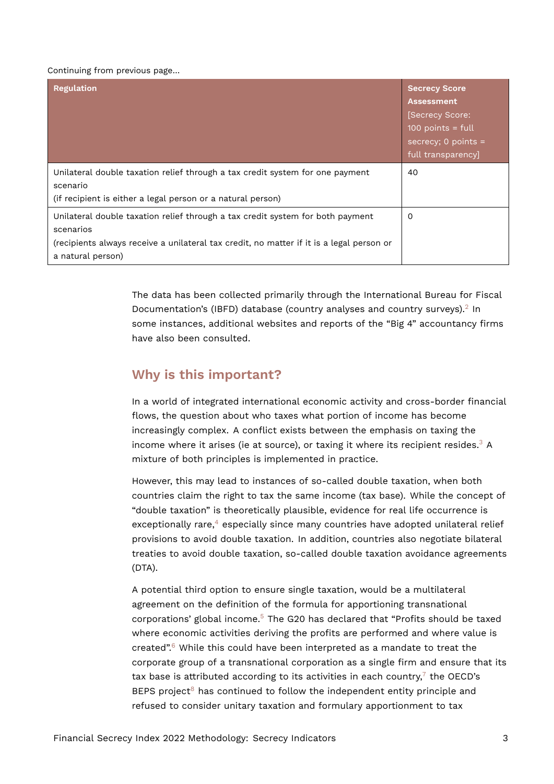#### Continuing from previous page…

| <b>Regulation</b>                                                                                                                                                                                            | <b>Secrecy Score</b><br><b>Assessment</b><br>[Secrecy Score:<br>$100$ points = full<br>secrecy; 0 points $=$<br>full transparency] |
|--------------------------------------------------------------------------------------------------------------------------------------------------------------------------------------------------------------|------------------------------------------------------------------------------------------------------------------------------------|
| Unilateral double taxation relief through a tax credit system for one payment<br>scenario<br>(if recipient is either a legal person or a natural person)                                                     | 40                                                                                                                                 |
| Unilateral double taxation relief through a tax credit system for both payment<br>scenarios<br>(recipients always receive a unilateral tax credit, no matter if it is a legal person or<br>a natural person) | 0                                                                                                                                  |

<span id="page-2-0"></span>The data has been collected primarily through the International Bureau for Fiscal Documentation's (IBFD) database (country analyses and country surveys).<sup>[2](#page-9-1)</sup> In some instances, additional websites and reports of the "Big 4" accountancy firms have also been consulted.

## **Why is this important?**

In a world of integrated international economic activity and cross-border financial flows, the question about who taxes what portion of income has become increasingly complex. A conflict exists between the emphasis on taxing the income where it arises (ie at source), or taxing it where its recipient resides.<sup>[3](#page-9-2)</sup> A mixture of both principles is implemented in practice.

<span id="page-2-2"></span><span id="page-2-1"></span>However, this may lead to instances of so-called double taxation, when both countries claim the right to tax the same income (tax base). While the concept of "double taxation" is theoretically plausible, evidence for real life occurrence is  $e$ xceptionally rare, $4$  especially since many countries have adopted unilateral relief provisions to avoid double taxation. In addition, countries also negotiate bilateral treaties to avoid double taxation, so-called double taxation avoidance agreements (DTA).

<span id="page-2-6"></span><span id="page-2-5"></span><span id="page-2-4"></span><span id="page-2-3"></span>A potential third option to ensure single taxation, would be a multilateral agreement on the definition of the formula for apportioning transnational corporations' global income.[5](#page-9-4) The G20 has declared that "Profits should be taxed where economic activities deriving the profits are performed and where value is created".[6](#page-9-5) While this could have been interpreted as a mandate to treat the corporate group of a transnational corporation as a single firm and ensure that its tax base is attributed according to its activities in each country, $^7$  $^7$  the OECD's BEPS project<sup>[8](#page-9-7)</sup> has continued to follow the independent entity principle and refused to consider unitary taxation and formulary apportionment to tax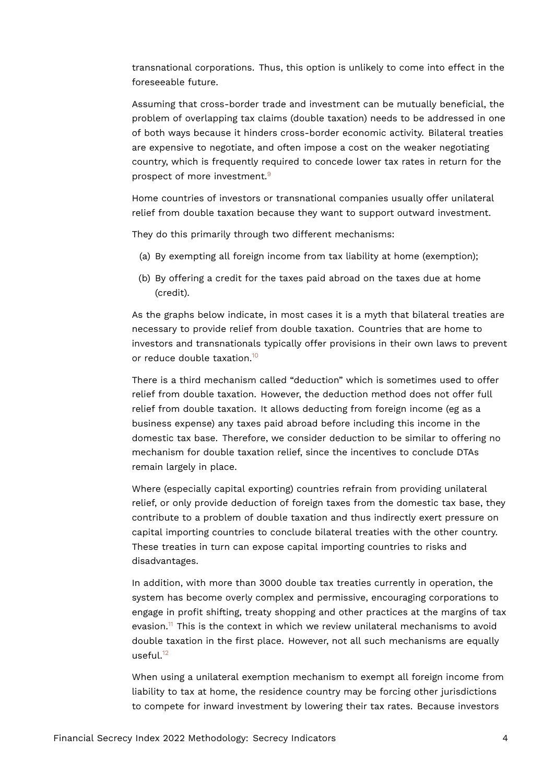transnational corporations. Thus, this option is unlikely to come into effect in the foreseeable future.

Assuming that cross-border trade and investment can be mutually beneficial, the problem of overlapping tax claims (double taxation) needs to be addressed in one of both ways because it hinders cross-border economic activity. Bilateral treaties are expensive to negotiate, and often impose a cost on the weaker negotiating country, which is frequently required to concede lower tax rates in return for the prospect of more investment.[9](#page-9-8)

<span id="page-3-0"></span>Home countries of investors or transnational companies usually offer unilateral relief from double taxation because they want to support outward investment.

They do this primarily through two different mechanisms:

- (a) By exempting all foreign income from tax liability at home (exemption);
- (b) By offering a credit for the taxes paid abroad on the taxes due at home (credit).

As the graphs below indicate, in most cases it is a myth that bilateral treaties are necessary to provide relief from double taxation. Countries that are home to investors and transnationals typically offer provisions in their own laws to prevent or reduce double taxation.<sup>[10](#page-10-0)</sup>

<span id="page-3-1"></span>There is a third mechanism called "deduction" which is sometimes used to offer relief from double taxation. However, the deduction method does not offer full relief from double taxation. It allows deducting from foreign income (eg as a business expense) any taxes paid abroad before including this income in the domestic tax base. Therefore, we consider deduction to be similar to offering no mechanism for double taxation relief, since the incentives to conclude DTAs remain largely in place.

Where (especially capital exporting) countries refrain from providing unilateral relief, or only provide deduction of foreign taxes from the domestic tax base, they contribute to a problem of double taxation and thus indirectly exert pressure on capital importing countries to conclude bilateral treaties with the other country. These treaties in turn can expose capital importing countries to risks and disadvantages.

<span id="page-3-2"></span>In addition, with more than 3000 double tax treaties currently in operation, the system has become overly complex and permissive, encouraging corporations to engage in profit shifting, treaty shopping and other practices at the margins of tax evasion.<sup>[11](#page-10-1)</sup> This is the context in which we review unilateral mechanisms to avoid double taxation in the first place. However, not all such mechanisms are equally  $useful.<sup>12</sup>$  $useful.<sup>12</sup>$  $useful.<sup>12</sup>$ 

<span id="page-3-3"></span>When using a unilateral exemption mechanism to exempt all foreign income from liability to tax at home, the residence country may be forcing other jurisdictions to compete for inward investment by lowering their tax rates. Because investors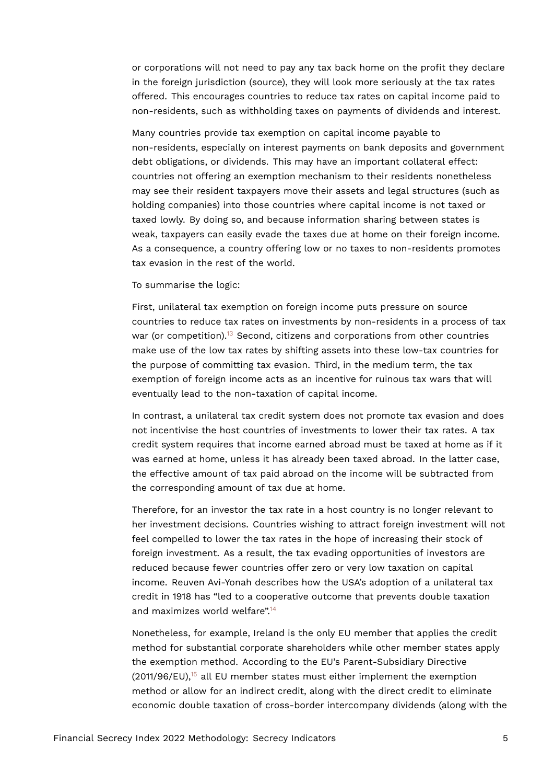or corporations will not need to pay any tax back home on the profit they declare in the foreign jurisdiction (source), they will look more seriously at the tax rates offered. This encourages countries to reduce tax rates on capital income paid to non-residents, such as withholding taxes on payments of dividends and interest.

Many countries provide tax exemption on capital income payable to non-residents, especially on interest payments on bank deposits and government debt obligations, or dividends. This may have an important collateral effect: countries not offering an exemption mechanism to their residents nonetheless may see their resident taxpayers move their assets and legal structures (such as holding companies) into those countries where capital income is not taxed or taxed lowly. By doing so, and because information sharing between states is weak, taxpayers can easily evade the taxes due at home on their foreign income. As a consequence, a country offering low or no taxes to non-residents promotes tax evasion in the rest of the world.

To summarise the logic:

<span id="page-4-0"></span>First, unilateral tax exemption on foreign income puts pressure on source countries to reduce tax rates on investments by non-residents in a process of tax war (or competition).<sup>[13](#page-10-3)</sup> Second, citizens and corporations from other countries make use of the low tax rates by shifting assets into these low-tax countries for the purpose of committing tax evasion. Third, in the medium term, the tax exemption of foreign income acts as an incentive for ruinous tax wars that will eventually lead to the non-taxation of capital income.

In contrast, a unilateral tax credit system does not promote tax evasion and does not incentivise the host countries of investments to lower their tax rates. A tax credit system requires that income earned abroad must be taxed at home as if it was earned at home, unless it has already been taxed abroad. In the latter case, the effective amount of tax paid abroad on the income will be subtracted from the corresponding amount of tax due at home.

Therefore, for an investor the tax rate in a host country is no longer relevant to her investment decisions. Countries wishing to attract foreign investment will not feel compelled to lower the tax rates in the hope of increasing their stock of foreign investment. As a result, the tax evading opportunities of investors are reduced because fewer countries offer zero or very low taxation on capital income. Reuven Avi-Yonah describes how the USA's adoption of a unilateral tax credit in 1918 has "led to a cooperative outcome that prevents double taxation and maximizes world welfare".[14](#page-10-4)

<span id="page-4-2"></span><span id="page-4-1"></span>Nonetheless, for example, Ireland is the only EU member that applies the credit method for substantial corporate shareholders while other member states apply the exemption method. According to the EU's Parent-Subsidiary Directive  $(2011/96/EU)$ ,<sup>[15](#page-10-5)</sup> all EU member states must either implement the exemption method or allow for an indirect credit, along with the direct credit to eliminate economic double taxation of cross-border intercompany dividends (along with the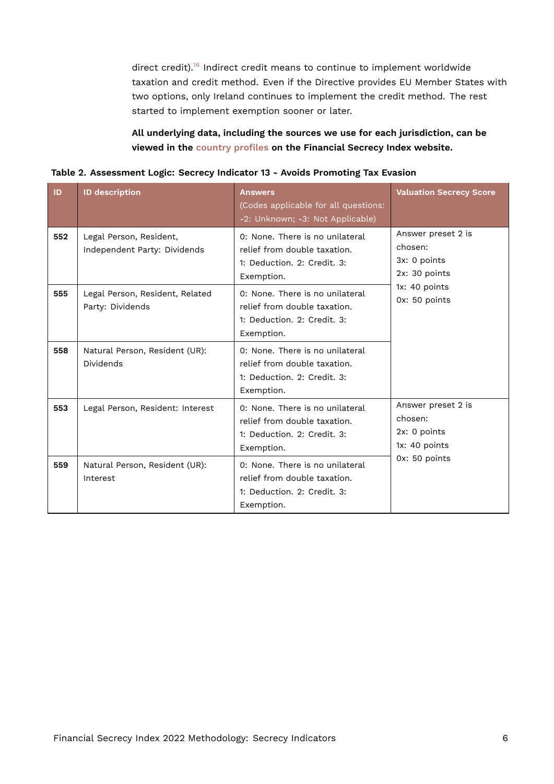<span id="page-5-1"></span>direct credit).<sup>[16](#page-10-6)</sup> Indirect credit means to continue to implement worldwide taxation and credit method. Even if the Directive provides EU Member States with two options, only Ireland continues to implement the credit method. The rest started to implement exemption sooner or later.

#### <span id="page-5-0"></span>**All underlying data, including the sources we use for each jurisdiction, can be viewed in the [country profiles](https://fsi.taxjustice.net/country-detail) on the Financial Secrecy Index website.**

| Table 2. Assessment Logic: Secrecy Indicator 13 - Avoids Promoting Tax Evasion |  |  |  |
|--------------------------------------------------------------------------------|--|--|--|
|                                                                                |  |  |  |

| ID  | <b>ID description</b>                                   | <b>Answers</b><br>(Codes applicable for all questions:<br>-2: Unknown; -3: Not Applicable)                   | <b>Valuation Secrecy Score</b>                                 |  |  |  |  |
|-----|---------------------------------------------------------|--------------------------------------------------------------------------------------------------------------|----------------------------------------------------------------|--|--|--|--|
| 552 | Legal Person, Resident,<br>Independent Party: Dividends | 0: None. There is no unilateral<br>relief from double taxation.<br>1: Deduction. 2: Credit. 3:<br>Exemption. | Answer preset 2 is<br>chosen:<br>3x: 0 points<br>2x: 30 points |  |  |  |  |
| 555 | Legal Person, Resident, Related<br>Party: Dividends     | 0: None. There is no unilateral<br>relief from double taxation.<br>1: Deduction, 2: Credit, 3:<br>Exemption. | 1x: 40 points<br>0x: 50 points                                 |  |  |  |  |
| 558 | Natural Person, Resident (UR):<br>Dividends             | 0: None. There is no unilateral<br>relief from double taxation.<br>1: Deduction. 2: Credit. 3:<br>Exemption. |                                                                |  |  |  |  |
| 553 | Legal Person, Resident: Interest                        | 0: None. There is no unilateral<br>relief from double taxation.<br>1: Deduction, 2: Credit, 3:<br>Exemption. | Answer preset 2 is<br>chosen:<br>2x: 0 points<br>1x: 40 points |  |  |  |  |
| 559 | Natural Person, Resident (UR):<br>Interest              | 0: None. There is no unilateral<br>relief from double taxation.<br>1: Deduction. 2: Credit. 3:<br>Exemption. | 0x: 50 points                                                  |  |  |  |  |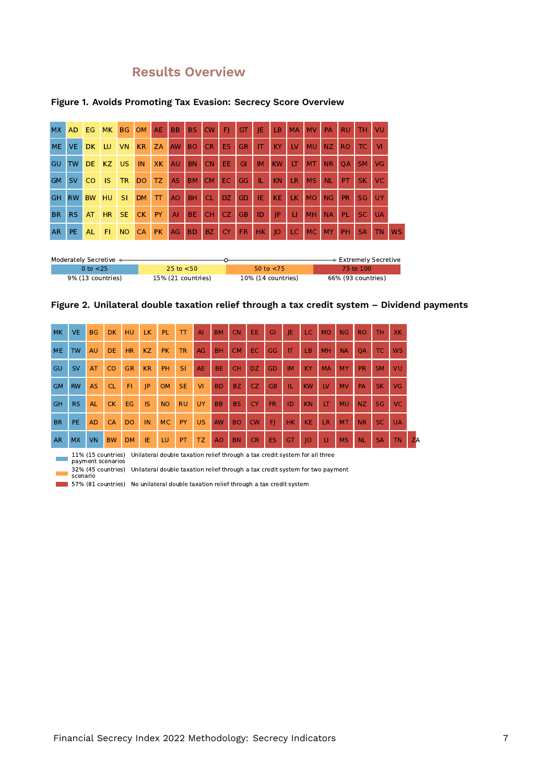## **Results Overview**

| <b>MX</b> | <b>AD</b> | EG.           | <b>MK</b> | <b>BG</b> | <b>OM</b> | AE.          | <b>BB</b>      | <b>BS</b> | <b>CW</b> | FI.       | GT        | IE        | <b>LB</b> | <b>MA</b> | <b>MV</b> | PA        | <b>RU</b> | TH        | VU        |
|-----------|-----------|---------------|-----------|-----------|-----------|--------------|----------------|-----------|-----------|-----------|-----------|-----------|-----------|-----------|-----------|-----------|-----------|-----------|-----------|
| <b>ME</b> | VE.       | DK.           | <b>LU</b> | <b>VN</b> | <b>KR</b> | <b>ZA</b>    | AW             | <b>BO</b> | <b>CR</b> | ES.       | <b>GR</b> | IT        | KY        | LV        | <b>MU</b> | <b>NZ</b> | <b>RO</b> | TC.       | <b>VI</b> |
| GU        | <b>TW</b> | DE.           | KZ        | <b>US</b> | IN        | XK           | AU             | <b>BN</b> | <b>CN</b> | EE.       | GI        | <b>IM</b> | <b>KW</b> | LT.       | <b>MT</b> | <b>NR</b> | <b>OA</b> | SM.       | VG        |
| <b>GM</b> | <b>SV</b> | <sub>co</sub> | <b>IS</b> | <b>TR</b> | <b>DO</b> | TZ.          | <b>AS</b>      | <b>BM</b> | <b>CM</b> | EC.       | GG        | IL.       | <b>KN</b> | <b>LR</b> | <b>MS</b> | <b>NL</b> | <b>PT</b> | <b>SK</b> | <b>VC</b> |
| <b>GH</b> | <b>RW</b> | <b>BW</b>     | <b>HU</b> | <b>SI</b> | <b>DM</b> | $\mathsf{T}$ | A <sub>O</sub> | <b>BH</b> | <b>CL</b> | DZ.       | GD        | ТE        | <b>KE</b> | LK.       | <b>MO</b> | <b>NG</b> | <b>PR</b> | SG        | UY        |
| <b>BR</b> | RS.       | AT            | <b>HR</b> | <b>SE</b> | CK        | PY.          | AI             | <b>BE</b> | <b>CH</b> | CZ.       | <b>GB</b> | ID        | IP        | п         | <b>MH</b> | <b>NA</b> | <b>PL</b> | <b>SC</b> | <b>UA</b> |
| <b>AR</b> | PE.       | <b>AL</b>     | F1        | <b>NO</b> | <b>CA</b> | PK.          | AG             | <b>BD</b> | BZ        | <b>CY</b> | <b>FR</b> | HK.       | O         | LC.       | MC.       | <b>MY</b> | PH        | <b>SA</b> | ΤN        |

#### **Figure 1. Avoids Promoting Tax Evasion: Secrecy Score Overview**

| Moderately Secretive < |                    |                    | $\overline{\phantom{1}}$ Extremely Secretive |
|------------------------|--------------------|--------------------|----------------------------------------------|
| 0 to $<$ 25            | 25 to $<$ 50       | 50 to $<$ 75       | 75 to 100                                    |
| 9% (13 countries)      | 15% (21 countries) | 10% (14 countries) | 66% (93 countries)                           |



| <b>MK</b> | <b>VE</b> | <b>BG</b> | <b>DK</b> | HU        | <b>LK</b> | <b>PL</b> | π         | AI        | <b>BM</b>      | <b>CN</b> | EE        | GI        | IE                                                                                              | LC.       | <b>MO</b>      | <b>NG</b> | <b>RO</b> | TH        | <b>XK</b> |           |
|-----------|-----------|-----------|-----------|-----------|-----------|-----------|-----------|-----------|----------------|-----------|-----------|-----------|-------------------------------------------------------------------------------------------------|-----------|----------------|-----------|-----------|-----------|-----------|-----------|
| <b>ME</b> | <b>TW</b> | <b>AU</b> | <b>DE</b> | <b>HR</b> | KZ        | <b>PK</b> | <b>TR</b> | AG        | <b>BH</b>      | <b>CM</b> | EC.       | GG        | IT                                                                                              | LB        | <b>MH</b>      | <b>NA</b> | <b>OA</b> | <b>TC</b> | <b>WS</b> |           |
| GU        | <b>SV</b> | AT        | <b>CO</b> | <b>GR</b> | <b>KR</b> | <b>PH</b> | <b>SI</b> | <b>AE</b> | BE.            | <b>CH</b> | DZ.       | GD        | <b>IM</b>                                                                                       | KY        | <b>MA</b>      | MY        | <b>PR</b> | <b>SM</b> | VU        |           |
| <b>GM</b> | <b>RW</b> | <b>AS</b> | <b>CL</b> | F1        | JP        | <b>OM</b> | <b>SE</b> | VI        | <b>BD</b>      | <b>BZ</b> | CZ.       | <b>GB</b> | IL.                                                                                             | <b>KW</b> | $_{\text{IV}}$ | <b>MV</b> | PA        | <b>SK</b> | <b>VG</b> |           |
| GH        | <b>RS</b> | <b>AL</b> | <b>CK</b> | EG        | IS        | <b>NO</b> | <b>RU</b> | UY        | <b>BB</b>      | <b>BS</b> | <b>CY</b> | <b>FR</b> | ID                                                                                              | <b>KN</b> | LT             | <b>MU</b> | NZ        | <b>SG</b> | <b>VC</b> |           |
| <b>BR</b> | PE.       | <b>AD</b> | <b>CA</b> | <b>DO</b> | IN        | MC.       | PY        | <b>US</b> | <b>AW</b>      | <b>BO</b> | CW        | FI.       | HK.                                                                                             | <b>KE</b> | <b>LR</b>      | <b>MT</b> | <b>NR</b> | <b>SC</b> | <b>UA</b> |           |
| <b>AR</b> | <b>MX</b> | VN        | <b>BW</b> | <b>DM</b> | IE.       | LU        | PT        | TZ.       | A <sub>O</sub> | <b>BN</b> | <b>CR</b> | <b>ES</b> | <b>GT</b>                                                                                       | IO        | П              | <b>MS</b> | <b>NL</b> | <b>SA</b> | <b>TN</b> | <b>ZA</b> |
|           |           |           |           |           |           |           |           |           |                |           |           |           | 110/ (15 countries) Unilateral double taxation relief through a tax credit system for all three |           |                |           |           |           |           |           |

÷,

11% (15 countries) Unilateral double taxation relief through a tax credit system for all three payment scenarios

32% (45 countries) Unilateral double taxation relief through a tax credit system for two payment scenario

57% (81 countries) No unilateral double taxation relief through a tax credit system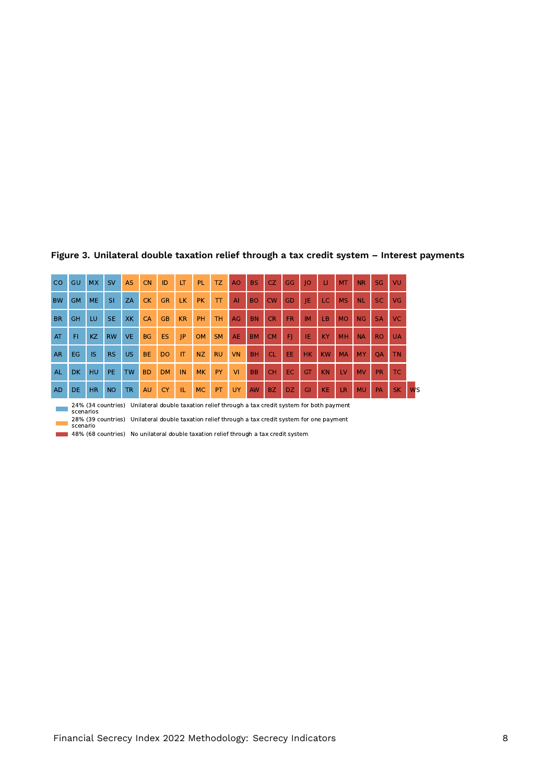| <sub>co</sub>                                                                                                     | GU        | <b>MX</b> | <b>SV</b> | <b>AS</b> | <b>CN</b> | ID             | LT        | PL.       | <b>TZ</b> | A <sub>O</sub> | <b>BS</b> | CZ.       | <b>GG</b> | 10        | Ш         | <b>MT</b> | <b>NR</b> | <b>SG</b> | VU        |                      |
|-------------------------------------------------------------------------------------------------------------------|-----------|-----------|-----------|-----------|-----------|----------------|-----------|-----------|-----------|----------------|-----------|-----------|-----------|-----------|-----------|-----------|-----------|-----------|-----------|----------------------|
| <b>BW</b>                                                                                                         | <b>GM</b> | <b>ME</b> | <b>SI</b> | ZA        | <b>CK</b> | <b>GR</b>      | <b>LK</b> | <b>PK</b> | T         | $\mathsf{A}$   | <b>BO</b> | CW        | GD        | IE        | LC.       | <b>MS</b> | <b>NL</b> | <b>SC</b> | VG        |                      |
| <b>BR</b>                                                                                                         | <b>GH</b> | LU        | <b>SE</b> | <b>XK</b> | <b>CA</b> | <b>GB</b>      | <b>KR</b> | PH        | <b>TH</b> | AG             | <b>BN</b> | <b>CR</b> | <b>FR</b> | <b>IM</b> | LB        | <b>MO</b> | <b>NG</b> | <b>SA</b> | VC.       |                      |
| AT                                                                                                                | F1        | <b>KZ</b> | <b>RW</b> | <b>VE</b> | <b>BG</b> | <b>ES</b>      | JP        | <b>OM</b> | <b>SM</b> | <b>AE</b>      | <b>BM</b> | <b>CM</b> | F)        | IE        | <b>KY</b> | MH        | <b>NA</b> | <b>RO</b> | <b>UA</b> |                      |
| <b>AR</b>                                                                                                         | EG        | <b>IS</b> | <b>RS</b> | <b>US</b> | <b>BE</b> | D <sub>O</sub> | IT        | <b>NZ</b> | <b>RU</b> | <b>VN</b>      | <b>BH</b> | <b>CL</b> | EE.       | <b>HK</b> | <b>KW</b> | <b>MA</b> | <b>MY</b> | <b>OA</b> | <b>TN</b> |                      |
| <b>AL</b>                                                                                                         | <b>DK</b> | HU        | PE.       | <b>TW</b> | <b>BD</b> | <b>DM</b>      | IN        | <b>MK</b> | PY        | V <sub>1</sub> | <b>BB</b> | <b>CH</b> | EC.       | GT        | <b>KN</b> | LV        | <b>MV</b> | <b>PR</b> | <b>TC</b> |                      |
| <b>AD</b>                                                                                                         | DE.       | <b>HR</b> | <b>NO</b> | <b>TR</b> | AU        | <b>CY</b>      | TL.       | MC.       | PT        | <b>UY</b>      | <b>AW</b> | <b>BZ</b> | DZ.       | GI        | <b>KE</b> | <b>LR</b> | <b>MU</b> | PA        | <b>SK</b> | <b>W<sub>S</sub></b> |
| Unilateral double taxation relief through a tax credit system for both payment<br>24% (34 countries)<br>scenarios |           |           |           |           |           |                |           |           |           |                |           |           |           |           |           |           |           |           |           |                      |

#### **Figure 3. Unilateral double taxation relief through a tax credit system – Interest payments**

28% (39 countries) Unilateral double taxation relief through a tax credit system for one payment scenario

48% (68 countries) No unilateral double taxation relief through a tax credit system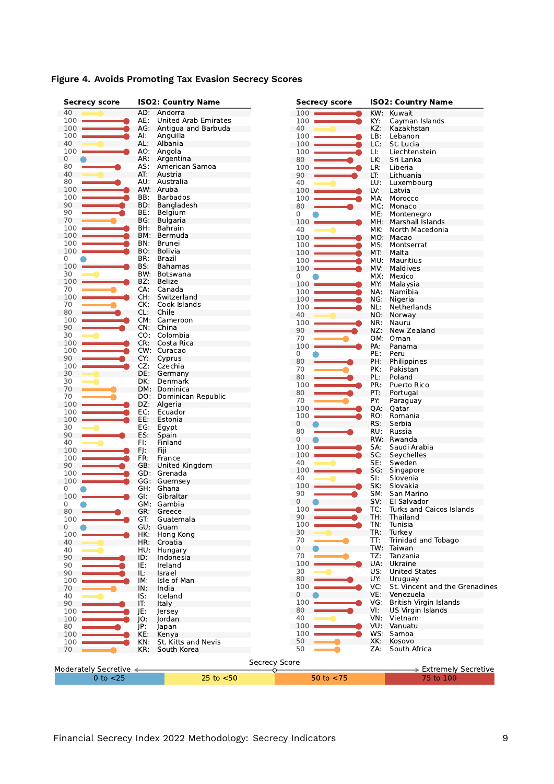| <b>Secrecy score</b>   |     | <b>ISO2: Country Name</b>   | <b>Secrecy score</b> |     | <b>ISO2: Country Name</b>      |  |  |  |  |
|------------------------|-----|-----------------------------|----------------------|-----|--------------------------------|--|--|--|--|
| 40                     |     | AD: Andorra                 | 100                  | KW: | Kuwait                         |  |  |  |  |
| 100                    | AE: | <b>United Arab Emirates</b> | 100                  | KY: | Cayman Islands                 |  |  |  |  |
| 100                    |     | AG: Antigua and Barbuda     | 40                   | KZ: | Kazakhstan                     |  |  |  |  |
| 100                    | AI: | Anguilla                    | 100                  | LB: | Lebanon                        |  |  |  |  |
| 40                     | AL: | Albania                     | 100                  | LC: | St. Lucia                      |  |  |  |  |
| 100                    |     | AO: Angola                  | 100                  | LI: | Liechtenstein                  |  |  |  |  |
| 0                      | AR: | Argentina                   | 80                   | LK: | Sri Lanka                      |  |  |  |  |
| 80                     | AS: | American Samoa              | 100                  | LR: | Liberia                        |  |  |  |  |
| 40                     | AT: | Austria                     |                      |     |                                |  |  |  |  |
| 80                     |     | AU: Australia               | 90                   | LT: | Lithuania                      |  |  |  |  |
|                        |     |                             | 40                   | LU: | Luxembourg                     |  |  |  |  |
| 100                    |     | AW: Aruba                   | 100                  | LV: | Latvia                         |  |  |  |  |
| 100                    | BB: | <b>Barbados</b>             | 100                  | MA: | Morocco                        |  |  |  |  |
| 90                     | BD: | Bangladesh                  | 80                   | MC: | Monaco                         |  |  |  |  |
| 90                     | BE: | Belgium                     | 0                    | ME: | Montenegro                     |  |  |  |  |
| 70                     | BG: | <b>Bulgaria</b>             | 100                  | MH: | Marshall Islands               |  |  |  |  |
| 100                    | BH: | Bahrain                     | 40                   | MK. | North Macedonia                |  |  |  |  |
| 100                    | BM: | Bermuda                     | 100                  |     | MO: Macao                      |  |  |  |  |
| 100                    | BN: | Brunei                      | 100                  | MS: | Montserrat                     |  |  |  |  |
| 100                    | BO: | <b>Bolivia</b>              | 100                  | MT: | Malta                          |  |  |  |  |
| 0                      | BR: | Brazil                      | 100                  | MU: | Mauritius                      |  |  |  |  |
| 100                    | BS: | <b>Bahamas</b>              | 100                  |     | MV: Maldives                   |  |  |  |  |
| 30                     | BW. | Botswana                    |                      |     |                                |  |  |  |  |
| 100                    | BZ: | Belize                      | 0                    | MX: | Mexico                         |  |  |  |  |
| 70                     | CA: | Canada                      | 100                  | MY: | Malaysia                       |  |  |  |  |
| 100                    | CH: | Switzerland                 | 100                  | NA: | Namibia                        |  |  |  |  |
| 70                     | CK: | Cook Islands                | 100                  | NG: | Nigeria                        |  |  |  |  |
| 80                     | CL: | Chile                       | 100                  | NL: | Netherlands                    |  |  |  |  |
|                        |     |                             | 40                   |     | NO: Norway                     |  |  |  |  |
| 100                    |     | CM: Cameroon                | 100                  | NR: | Nauru                          |  |  |  |  |
| 90                     | CN: | China                       | 90                   | NZ: | New Zealand                    |  |  |  |  |
| 30                     | CO: | Colombia                    | 70                   |     | OM: Oman                       |  |  |  |  |
| 100                    | CR: | Costa Rica                  | 100                  | PA: | Panama                         |  |  |  |  |
| 100                    |     | CW: Curacao                 | 0                    | PE: | Peru                           |  |  |  |  |
| 90                     | CY: | Cyprus                      | 80                   | PH: | Philippines                    |  |  |  |  |
| 100                    | CZ: | Czechia                     | 70                   | PK: | Pakistan                       |  |  |  |  |
| 30                     | DE: | Germany                     |                      |     |                                |  |  |  |  |
| 30                     | DK: | Denmark                     | 80                   | PL: | Poland                         |  |  |  |  |
| 70                     | DM: | Dominica                    | 100                  | PR: | Puerto Rico                    |  |  |  |  |
| 70                     | DO: | Dominican Republic          | 80                   | PT: | Portugal                       |  |  |  |  |
| 100                    | DZ: | Algeria                     | 70                   | PY: | Paraguay                       |  |  |  |  |
| 100                    | EC: | Ecuador                     | 100                  | QA: | Qatar                          |  |  |  |  |
| 100                    | EE: | Estonia                     | 100                  | RO: | Romania                        |  |  |  |  |
| 30                     | EG: | Egypt                       | 0                    | RS: | Serbia                         |  |  |  |  |
| 90                     | ES: | Spain                       | 80                   | RU: | Russia                         |  |  |  |  |
|                        |     |                             | 0                    |     | RW: Rwanda                     |  |  |  |  |
| 40                     | FI: | Finland                     | 100                  | SA. | Saudi Arabia                   |  |  |  |  |
| 100                    | FJ: | Fiji                        | 100                  | SC: | Seychelles                     |  |  |  |  |
| 100                    | FR: | France                      | 40                   | SE: | Sweden                         |  |  |  |  |
| 90                     | GB: | United Kingdom              | 100                  |     | SG: Singapore                  |  |  |  |  |
| 100                    | GD: | Grenada                     | 40                   | SI: | Slovenia                       |  |  |  |  |
| 100                    |     | GG: Guernsey                |                      | SK: |                                |  |  |  |  |
| 0                      | GH: | Ghana                       | 100                  |     | Slovakia                       |  |  |  |  |
| 100                    | GI. | Gibraltar                   | 90                   | SM: | San Marino                     |  |  |  |  |
| 0                      |     | GM: Gambia                  | 0                    | SV: | El Salvador                    |  |  |  |  |
| 80                     |     | GR: Greece                  | 100                  | TC: | Turks and Caicos Islands       |  |  |  |  |
| 100                    | GT: | Guatemala                   | 90                   | TH: | Thailand                       |  |  |  |  |
| 0                      | GU: | Guam                        | 100                  | TN: | Tunisia                        |  |  |  |  |
| 100                    | HK: | Hong Kong                   | 30                   | TR: | Turkey                         |  |  |  |  |
| 40                     | HR: | Croatia                     | 70                   | TT: | Trinidad and Tobago            |  |  |  |  |
| 40                     | HU: | Hungary                     | 0                    | TW: | Taiwan                         |  |  |  |  |
| 90                     | ID: | Indonesia                   | 70                   | TZ: | Tanzania                       |  |  |  |  |
|                        |     |                             | 100                  | UA: | Ukraine                        |  |  |  |  |
| 90                     | IE: | Ireland                     | 30                   | US. | <b>United States</b>           |  |  |  |  |
| 90                     | IL: | Israel                      | 80                   | UY: |                                |  |  |  |  |
| 100                    | IM: | Isle of Man                 |                      |     | Uruguay                        |  |  |  |  |
| 70                     | IN: | India                       | 100                  | VC: | St. Vincent and the Grenadines |  |  |  |  |
| 40                     | IS: | Iceland                     | 0                    | VE: | Venezuela                      |  |  |  |  |
| 90                     | IT: | <b>Italy</b>                | 100                  | VG: | British Virgin Islands         |  |  |  |  |
| 100                    | JE: | Jersey                      | 80                   | VI: | US Virgin Islands              |  |  |  |  |
| 100                    | JO: | Jordan                      | 40                   | VN: | Vietnam                        |  |  |  |  |
| 80                     | JP: | Japan                       | 100                  |     | VU: Vanuatu                    |  |  |  |  |
| 100                    | KE: | Kenva                       | 100                  |     | WS: Samoa                      |  |  |  |  |
| 100                    | KN: | St. Kitts and Nevis         | 50                   | XK: | Kosovo                         |  |  |  |  |
| 70                     | KR: | South Korea                 | 50                   | ZA: | South Africa                   |  |  |  |  |
|                        |     |                             |                      |     |                                |  |  |  |  |
|                        |     |                             | <b>Secrecy Score</b> |     |                                |  |  |  |  |
| Moderately Secretive < |     |                             | O.                   |     | > Extremely Secretive          |  |  |  |  |
| $0$ to $<$ 25          |     | $25$ to $< 50$              | 50 to $<$ 75         |     | 75 to 100                      |  |  |  |  |
|                        |     |                             |                      |     |                                |  |  |  |  |

## **Figure 4. Avoids Promoting Tax Evasion Secrecy Scores**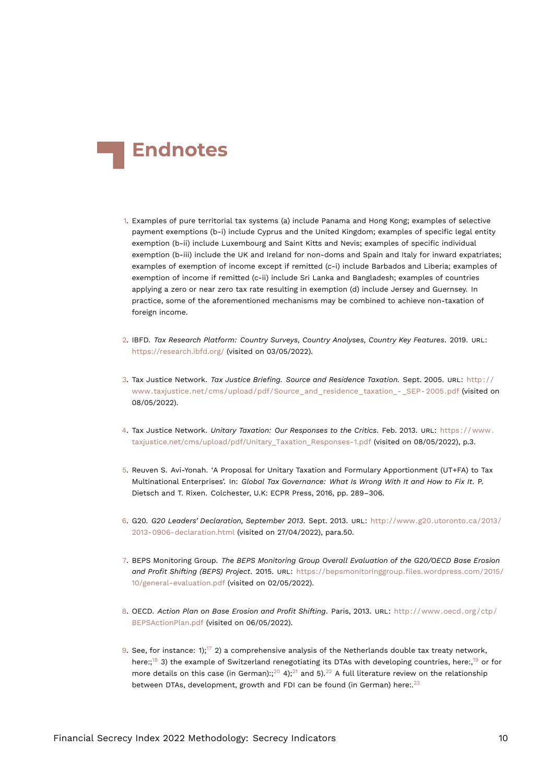<span id="page-9-17"></span>

- <span id="page-9-0"></span>[1.](#page-1-1) Examples of pure territorial tax systems (a) include Panama and Hong Kong; examples of selective payment exemptions (b-i) include Cyprus and the United Kingdom; examples of specific legal entity exemption (b-ii) include Luxembourg and Saint Kitts and Nevis; examples of specific individual exemption (b-iii) include the UK and Ireland for non-doms and Spain and Italy for inward expatriates; examples of exemption of income except if remitted (c-i) include Barbados and Liberia; examples of exemption of income if remitted (c-ii) include Sri Lanka and Bangladesh; examples of countries applying a zero or near zero tax rate resulting in exemption (d) include Jersey and Guernsey. In practice, some of the aforementioned mechanisms may be combined to achieve non-taxation of foreign income.
- <span id="page-9-1"></span>[2.](#page-2-0) IBFD. *Tax Research Platform: Country Surveys, Country Analyses, Country Key Features*. 2019. URL: <https://research.ibfd.org/> (visited on 03/05/2022).
- <span id="page-9-2"></span>[3.](#page-2-1) Tax Justice Network. *Tax Justice Briefing. Source and Residence Taxation.* Sept. 2005. URL: [http : / /](http://www.taxjustice.net/cms/upload/pdf/Source_and_residence_taxation_-_SEP-2005.pdf) www.taxjustice.net/cms/upload/pdf/Source\_and\_residence\_taxation\_-\_SEP-2005.pdf (visited on 08/05/2022).
- <span id="page-9-16"></span><span id="page-9-3"></span>[4.](#page-2-2) Tax Justice Network. *Unitary Taxation: Our Responses to the Critics*. Feb. 2013. URL: [https : / / www .](https://www.taxjustice.net/cms/upload/pdf/Unitary_Taxation_Responses-1.pdf) [taxjustice.net/cms/upload/pdf/Unitary\\_Taxation\\_Responses-1.pdf](https://www.taxjustice.net/cms/upload/pdf/Unitary_Taxation_Responses-1.pdf) (visited on 08/05/2022), p.3.
- <span id="page-9-4"></span>[5.](#page-2-3) Reuven S. Avi-Yonah. 'A Proposal for Unitary Taxation and Formulary Apportionment (UT+FA) to Tax Multinational Enterprises'. In: *Global Tax Governance: What Is Wrong With It and How to Fix It*. P. Dietsch and T. Rixen. Colchester, U.K: ECPR Press, 2016, pp. 289–306.
- <span id="page-9-5"></span>[6.](#page-2-4) G20. *G20 Leaders' Declaration, September 2013*. Sept. 2013. URL: [http://www.g20.utoronto.ca/2013/](http://www.g20.utoronto.ca/2013/2013-0906-declaration.html) [2013-0906-declaration.html](http://www.g20.utoronto.ca/2013/2013-0906-declaration.html) (visited on 27/04/2022), para.50.
- <span id="page-9-6"></span>[7.](#page-2-5) BEPS Monitoring Group. *The BEPS Monitoring Group Overall Evaluation of the G20/OECD Base Erosion and Profit Shifting (BEPS) Project*. 2015. URL: [https://bepsmonitoringgroup.files.wordpress.com/2015/](https://bepsmonitoringgroup.files.wordpress.com/2015/10/general-evaluation.pdf) [10/general-evaluation.pdf](https://bepsmonitoringgroup.files.wordpress.com/2015/10/general-evaluation.pdf) (visited on 02/05/2022).
- <span id="page-9-7"></span>[8.](#page-2-6) OECD. *Action Plan on Base Erosion and Profit Shifting*. Paris, 2013. URL: [http://www.oecd.org/ctp/](http://www.oecd.org/ctp/BEPSActionPlan.pdf) [BEPSActionPlan.pdf](http://www.oecd.org/ctp/BEPSActionPlan.pdf) (visited on 06/05/2022).
- <span id="page-9-15"></span><span id="page-9-14"></span><span id="page-9-13"></span><span id="page-9-12"></span><span id="page-9-11"></span><span id="page-9-10"></span><span id="page-9-9"></span><span id="page-9-8"></span>[9.](#page-3-0) See, for instance: 1);<sup>[17](#page-10-7)</sup> 2) a comprehensive analysis of the Netherlands double tax treaty network, here:;<sup>[18](#page-10-8)</sup> 3) the example of Switzerland renegotiating its DTAs with developing countries, here:,<sup>[19](#page-11-0)</sup> or for more details on this case (in German):;<sup>[20](#page-11-1)</sup> 4);<sup>[21](#page-11-2)</sup> and 5).<sup>[22](#page-11-3)</sup> A full literature review on the relationship between DTAs, development, growth and FDI can be found (in German) here:.<sup>[23](#page-11-4)</sup>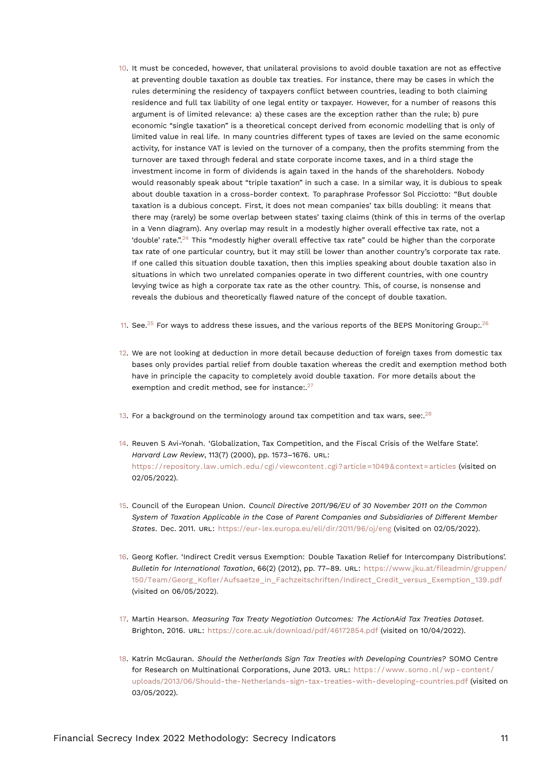- <span id="page-10-14"></span><span id="page-10-0"></span>[10.](#page-3-1) It must be conceded, however, that unilateral provisions to avoid double taxation are not as effective at preventing double taxation as double tax treaties. For instance, there may be cases in which the rules determining the residency of taxpayers conflict between countries, leading to both claiming residence and full tax liability of one legal entity or taxpayer. However, for a number of reasons this argument is of limited relevance: a) these cases are the exception rather than the rule; b) pure economic "single taxation" is a theoretical concept derived from economic modelling that is only of limited value in real life. In many countries different types of taxes are levied on the same economic activity, for instance VAT is levied on the turnover of a company, then the profits stemming from the turnover are taxed through federal and state corporate income taxes, and in a third stage the investment income in form of dividends is again taxed in the hands of the shareholders. Nobody would reasonably speak about "triple taxation" in such a case. In a similar way, it is dubious to speak about double taxation in a cross-border context. To paraphrase Professor Sol Picciotto: "But double taxation is a dubious concept. First, it does not mean companies' tax bills doubling: it means that there may (rarely) be some overlap between states' taxing claims (think of this in terms of the overlap in a Venn diagram). Any overlap may result in a modestly higher overall effective tax rate, not a 'double' rate.".<sup>[24](#page-11-5)</sup> This "modestly higher overall effective tax rate" could be higher than the corporate tax rate of one particular country, but it may still be lower than another country's corporate tax rate. If one called this situation double taxation, then this implies speaking about double taxation also in situations in which two unrelated companies operate in two different countries, with one country levying twice as high a corporate tax rate as the other country. This, of course, is nonsense and reveals the dubious and theoretically flawed nature of the concept of double taxation.
- <span id="page-10-11"></span><span id="page-10-10"></span><span id="page-10-9"></span><span id="page-10-1"></span>[11.](#page-3-2) See.<sup>[25](#page-11-6)</sup> For ways to address these issues, and the various reports of the BEPS Monitoring Group:.<sup>[26](#page-11-7)</sup>
- <span id="page-10-12"></span><span id="page-10-2"></span>[12.](#page-3-3) We are not looking at deduction in more detail because deduction of foreign taxes from domestic tax bases only provides partial relief from double taxation whereas the credit and exemption method both have in principle the capacity to completely avoid double taxation. For more details about the exemption and credit method, see for instance:.<sup>[27](#page-11-8)</sup>
- <span id="page-10-13"></span><span id="page-10-3"></span>[13.](#page-4-0) For a background on the terminology around tax competition and tax wars, see:.<sup>[28](#page-11-9)</sup>
- <span id="page-10-4"></span>[14.](#page-4-1) Reuven S Avi-Yonah. 'Globalization, Tax Competition, and the Fiscal Crisis of the Welfare State'. *Harvard Law Review*, 113(7) (2000), pp. 1573–1676. URL: <https://repository.law.umich.edu/cgi/viewcontent.cgi?article=1049&context=articles> (visited on 02/05/2022).
- <span id="page-10-5"></span>[15.](#page-4-2) Council of the European Union. *Council Directive 2011/96/EU of 30 November 2011 on the Common System of Taxation Applicable in the Case of Parent Companies and Subsidiaries of Different Member States*. Dec. 2011. URL: <https://eur-lex.europa.eu/eli/dir/2011/96/oj/eng> (visited on 02/05/2022).
- <span id="page-10-6"></span>[16.](#page-5-1) Georg Kofler. 'Indirect Credit versus Exemption: Double Taxation Relief for Intercompany Distributions'. *Bulletin for International Taxation*, 66(2) (2012), pp. 77–89. URL: [https://www.jku.at/fileadmin/gruppen/](https://www.jku.at/fileadmin/gruppen/150/Team/Georg_Kofler/Aufsaetze_in_Fachzeitschriften/Indirect_Credit_versus_Exemption_139.pdf) [150/Team/Georg\\_Kofler/Aufsaetze\\_in\\_Fachzeitschriften/Indirect\\_Credit\\_versus\\_Exemption\\_139.pdf](https://www.jku.at/fileadmin/gruppen/150/Team/Georg_Kofler/Aufsaetze_in_Fachzeitschriften/Indirect_Credit_versus_Exemption_139.pdf) (visited on 06/05/2022).
- <span id="page-10-7"></span>[17.](#page-9-9) Martin Hearson. *Measuring Tax Treaty Negotiation Outcomes: The ActionAid Tax Treaties Dataset*. Brighton, 2016. URL: <https://core.ac.uk/download/pdf/46172854.pdf> (visited on 10/04/2022).
- <span id="page-10-8"></span>[18.](#page-9-10) Katrin McGauran. *Should the Netherlands Sign Tax Treaties with Developing Countries?* SOMO Centre for Research on Multinational Corporations, June 2013. URL: https://www.somo.nl/wp-content/ [uploads/2013/06/Should-the-Netherlands-sign-tax-treaties-with-developing-countries.pdf](https://www.somo.nl/wp-content/uploads/2013/06/Should-the-Netherlands-sign-tax-treaties-with-developing-countries.pdf) (visited on 03/05/2022).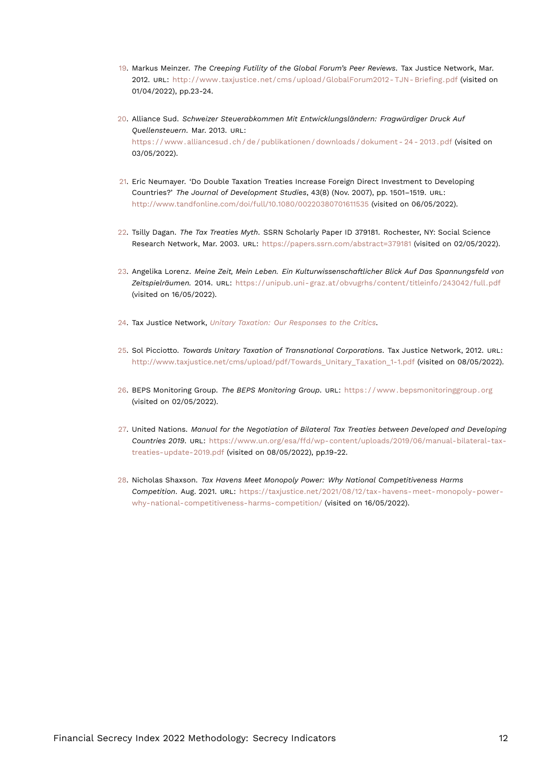- <span id="page-11-10"></span><span id="page-11-0"></span>[19.](#page-9-11) Markus Meinzer. *The Creeping Futility of the Global Forum's Peer Reviews*. Tax Justice Network, Mar. 2012. URL: [http://www.taxjustice.net/cms/upload/GlobalForum2012- TJN- Briefing.pdf](http://www.taxjustice.net/cms/upload/GlobalForum2012-TJN-Briefing.pdf) (visited on 01/04/2022), pp.23-24.
- <span id="page-11-1"></span>[20.](#page-9-12) Alliance Sud. *Schweizer Steuerabkommen Mit Entwicklungsländern: Fragwürdiger Druck Auf Quellensteuern*. Mar. 2013. URL: [https : / / www . alliancesud . ch / de / publikationen / downloads / dokument - 24 - 2013 . pdf](https://www.alliancesud.ch/de/publikationen/downloads/dokument-24-2013.pdf) (visited on 03/05/2022).
- <span id="page-11-2"></span>[21.](#page-9-13) Eric Neumayer. 'Do Double Taxation Treaties Increase Foreign Direct Investment to Developing Countries?' *The Journal of Development Studies*, 43(8) (Nov. 2007), pp. 1501–1519. URL: <http://www.tandfonline.com/doi/full/10.1080/00220380701611535> (visited on 06/05/2022).
- <span id="page-11-3"></span>[22.](#page-9-14) Tsilly Dagan. *The Tax Treaties Myth*. SSRN Scholarly Paper ID 379181. Rochester, NY: Social Science Research Network, Mar. 2003. URL: <https://papers.ssrn.com/abstract=379181> (visited on 02/05/2022).
- <span id="page-11-4"></span>[23.](#page-9-15) Angelika Lorenz. *Meine Zeit, Mein Leben. Ein Kulturwissenschaftlicher Blick Auf Das Spannungsfeld von Zeitspielräumen.* 2014. URL: [https://unipub.uni- graz.at/obvugrhs/content/titleinfo/243042/full.pdf](https://unipub.uni-graz.at/obvugrhs/content/titleinfo/243042/full.pdf) (visited on 16/05/2022).
- <span id="page-11-5"></span>[24.](#page-10-9) Tax Justice Network, *[Unitary Taxation: Our Responses to the Critics](#page-9-16)*.
- <span id="page-11-6"></span>[25.](#page-10-10) Sol Picciotto. *Towards Unitary Taxation of Transnational Corporations*. Tax Justice Network, 2012. URL: [http://www.taxjustice.net/cms/upload/pdf/Towards\\_Unitary\\_Taxation\\_1-1.pdf](http://www.taxjustice.net/cms/upload/pdf/Towards_Unitary_Taxation_1-1.pdf) (visited on 08/05/2022).
- <span id="page-11-7"></span>[26.](#page-10-11) BEPS Monitoring Group. *The BEPS Monitoring Group*. URL: [https : / / www . bepsmonitoringgroup . org](https://www.bepsmonitoringgroup.org) (visited on 02/05/2022).
- <span id="page-11-8"></span>[27.](#page-10-12) United Nations. *Manual for the Negotiation of Bilateral Tax Treaties between Developed and Developing Countries 2019*. URL: [https://www.un.org/esa/ffd/wp-content/uploads/2019/06/manual-bilateral-tax](https://www.un.org/esa/ffd/wp-content/uploads/2019/06/manual-bilateral-tax-treaties-update-2019.pdf)[treaties-update-2019.pdf](https://www.un.org/esa/ffd/wp-content/uploads/2019/06/manual-bilateral-tax-treaties-update-2019.pdf) (visited on 08/05/2022), pp.19-22.
- <span id="page-11-9"></span>[28.](#page-10-13) Nicholas Shaxson. *Tax Havens Meet Monopoly Power: Why National Competitiveness Harms Competition*. Aug. 2021. URL: [https://taxjustice.net/2021/08/12/tax-havens-meet-monopoly-power](https://taxjustice.net/2021/08/12/tax-havens-meet-monopoly-power-why-national-competitiveness-harms-competition/)[why-national-competitiveness-harms-competition/](https://taxjustice.net/2021/08/12/tax-havens-meet-monopoly-power-why-national-competitiveness-harms-competition/) (visited on 16/05/2022).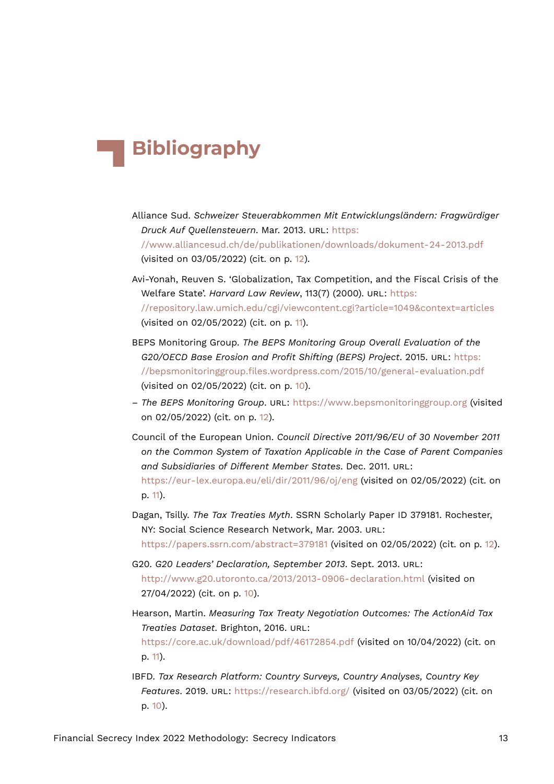## **Bibliography**

- Alliance Sud. *Schweizer Steuerabkommen Mit Entwicklungsländern: Fragwürdiger Druck Auf Quellensteuern*. Mar. 2013. URL: [https:](https://www.alliancesud.ch/de/publikationen/downloads/dokument-24-2013.pdf) [//www.alliancesud.ch/de/publikationen/downloads/dokument-24-2013.pdf](https://www.alliancesud.ch/de/publikationen/downloads/dokument-24-2013.pdf) (visited on 03/05/2022) (cit. on p. [12](#page-11-10)).
- Avi-Yonah, Reuven S. 'Globalization, Tax Competition, and the Fiscal Crisis of the Welfare State'. *Harvard Law Review*, 113(7) (2000). URL: [https:](https://repository.law.umich.edu/cgi/viewcontent.cgi?article=1049&context=articles) [//repository.law.umich.edu/cgi/viewcontent.cgi?article=1049&context=articles](https://repository.law.umich.edu/cgi/viewcontent.cgi?article=1049&context=articles) (visited on 02/05/2022) (cit. on p. [11](#page-10-14)).
- BEPS Monitoring Group. *The BEPS Monitoring Group Overall Evaluation of the G20/OECD Base Erosion and Profit Shifting (BEPS) Project*. 2015. URL: [https:](https://bepsmonitoringgroup.files.wordpress.com/2015/10/general-evaluation.pdf) [//bepsmonitoringgroup.files.wordpress.com/2015/10/general-evaluation.pdf](https://bepsmonitoringgroup.files.wordpress.com/2015/10/general-evaluation.pdf) (visited on 02/05/2022) (cit. on p. [10\)](#page-9-17).
- *The BEPS Monitoring Group*. URL: <https://www.bepsmonitoringgroup.org> (visited on 02/05/2022) (cit. on p. [12\)](#page-11-10).
- Council of the European Union. *Council Directive 2011/96/EU of 30 November 2011 on the Common System of Taxation Applicable in the Case of Parent Companies and Subsidiaries of Different Member States*. Dec. 2011. URL: <https://eur-lex.europa.eu/eli/dir/2011/96/oj/eng> (visited on 02/05/2022) (cit. on p. [11\)](#page-10-14).
- Dagan, Tsilly. *The Tax Treaties Myth*. SSRN Scholarly Paper ID 379181. Rochester, NY: Social Science Research Network, Mar. 2003. URL: <https://papers.ssrn.com/abstract=379181> (visited on 02/05/2022) (cit. on p. [12](#page-11-10)).
- G20. *G20 Leaders' Declaration, September 2013*. Sept. 2013. URL: <http://www.g20.utoronto.ca/2013/2013-0906-declaration.html> (visited on 27/04/2022) (cit. on p. [10\)](#page-9-17).
- Hearson, Martin. *Measuring Tax Treaty Negotiation Outcomes: The ActionAid Tax Treaties Dataset*. Brighton, 2016. URL:

<https://core.ac.uk/download/pdf/46172854.pdf> (visited on 10/04/2022) (cit. on p. [11\)](#page-10-14).

IBFD. *Tax Research Platform: Country Surveys, Country Analyses, Country Key Features*. 2019. URL: <https://research.ibfd.org/> (visited on 03/05/2022) (cit. on p. [10\)](#page-9-17).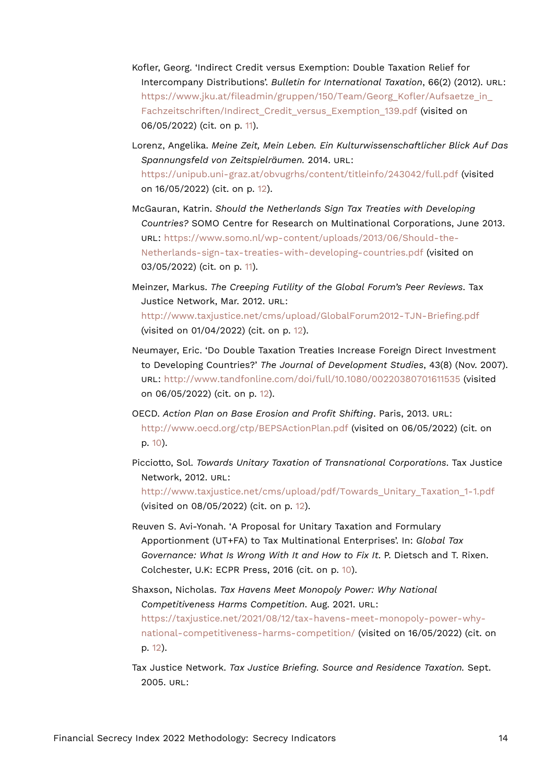- Kofler, Georg. 'Indirect Credit versus Exemption: Double Taxation Relief for Intercompany Distributions'. *Bulletin for International Taxation*, 66(2) (2012). URL: [https://www.jku.at/fileadmin/gruppen/150/Team/Georg\\_Kofler/Aufsaetze\\_in\\_](https://www.jku.at/fileadmin/gruppen/150/Team/Georg_Kofler/Aufsaetze_in_Fachzeitschriften/Indirect_Credit_versus_Exemption_139.pdf) Fachzeitschriften/Indirect Credit versus Exemption 139.pdf (visited on 06/05/2022) (cit. on p. [11\)](#page-10-14).
- Lorenz, Angelika. *Meine Zeit, Mein Leben. Ein Kulturwissenschaftlicher Blick Auf Das Spannungsfeld von Zeitspielräumen.* 2014. URL: <https://unipub.uni-graz.at/obvugrhs/content/titleinfo/243042/full.pdf> (visited on 16/05/2022) (cit. on p. [12\)](#page-11-10).
- McGauran, Katrin. *Should the Netherlands Sign Tax Treaties with Developing Countries?* SOMO Centre for Research on Multinational Corporations, June 2013. URL: [https://www.somo.nl/wp-content/uploads/2013/06/Should-the-](https://www.somo.nl/wp-content/uploads/2013/06/Should-the-Netherlands-sign-tax-treaties-with-developing-countries.pdf)[Netherlands-sign-tax-treaties-with-developing-countries.pdf](https://www.somo.nl/wp-content/uploads/2013/06/Should-the-Netherlands-sign-tax-treaties-with-developing-countries.pdf) (visited on 03/05/2022) (cit. on p. [11](#page-10-14)).
- Meinzer, Markus. *The Creeping Futility of the Global Forum's Peer Reviews*. Tax Justice Network, Mar. 2012. URL: <http://www.taxjustice.net/cms/upload/GlobalForum2012-TJN-Briefing.pdf> (visited on 01/04/2022) (cit. on p. [12\)](#page-11-10).
- Neumayer, Eric. 'Do Double Taxation Treaties Increase Foreign Direct Investment to Developing Countries?' *The Journal of Development Studies*, 43(8) (Nov. 2007). URL: <http://www.tandfonline.com/doi/full/10.1080/00220380701611535> (visited on 06/05/2022) (cit. on p. [12](#page-11-10)).
- OECD. *Action Plan on Base Erosion and Profit Shifting*. Paris, 2013. URL: <http://www.oecd.org/ctp/BEPSActionPlan.pdf> (visited on 06/05/2022) (cit. on p. [10\)](#page-9-17).
- Picciotto, Sol. *Towards Unitary Taxation of Transnational Corporations*. Tax Justice Network, 2012. URL: [http://www.taxjustice.net/cms/upload/pdf/Towards\\_Unitary\\_Taxation\\_1-1.pdf](http://www.taxjustice.net/cms/upload/pdf/Towards_Unitary_Taxation_1-1.pdf) (visited on 08/05/2022) (cit. on p. [12\)](#page-11-10).
- Reuven S. Avi-Yonah. 'A Proposal for Unitary Taxation and Formulary Apportionment (UT+FA) to Tax Multinational Enterprises'. In: *Global Tax Governance: What Is Wrong With It and How to Fix It*. P. Dietsch and T. Rixen. Colchester, U.K: ECPR Press, 2016 (cit. on p. [10\)](#page-9-17).
- Shaxson, Nicholas. *Tax Havens Meet Monopoly Power: Why National Competitiveness Harms Competition*. Aug. 2021. URL: [https://taxjustice.net/2021/08/12/tax-havens-meet-monopoly-power-why](https://taxjustice.net/2021/08/12/tax-havens-meet-monopoly-power-why-national-competitiveness-harms-competition/)[national-competitiveness-harms-competition/](https://taxjustice.net/2021/08/12/tax-havens-meet-monopoly-power-why-national-competitiveness-harms-competition/) (visited on 16/05/2022) (cit. on p. [12](#page-11-10)).
- Tax Justice Network. *Tax Justice Briefing. Source and Residence Taxation.* Sept. 2005. URL: